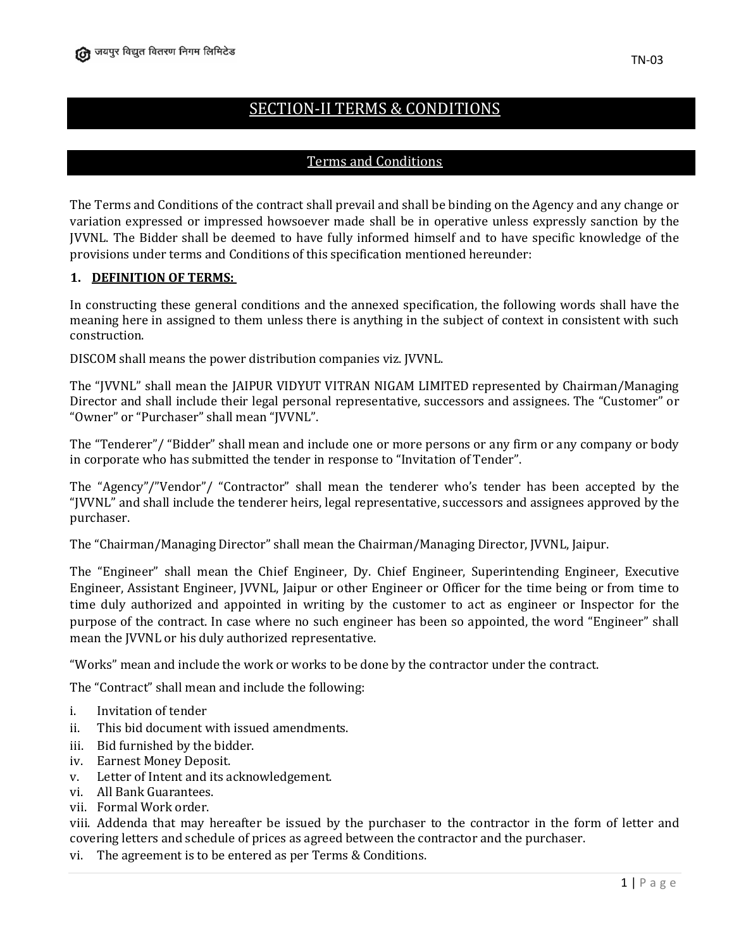# SECTION-II TERMS & CONDITIONS

# Terms and Conditions

The Terms and Conditions of the contract shall prevail and shall be binding on the Agency and any change or variation expressed or impressed howsoever made shall be in operative unless expressly sanction by the JVVNL. The Bidder shall be deemed to have fully informed himself and to have specific knowledge of the provisions under terms and Conditions of this specification mentioned hereunder:

### **1. DEFINITION OF TERMS:**

In constructing these general conditions and the annexed specification, the following words shall have the meaning here in assigned to them unless there is anything in the subject of context in consistent with such construction.

DISCOM shall means the power distribution companies viz. JVVNL.

The "JVVNL" shall mean the JAIPUR VIDYUT VITRAN NIGAM LIMITED represented by Chairman/Managing Director and shall include their legal personal representative, successors and assignees. The "Customer" or "Owner" or "Purchaser" shall mean "JVVNL".

The "Tenderer"/ "Bidder" shall mean and include one or more persons or any firm or any company or body in corporate who has submitted the tender in response to "Invitation of Tender".

The "Agency"/"Vendor"/ "Contractor" shall mean the tenderer who's tender has been accepted by the "JVVNL" and shall include the tenderer heirs, legal representative, successors and assignees approved by the purchaser.

The "Chairman/Managing Director" shall mean the Chairman/Managing Director, JVVNL, Jaipur.

The "Engineer" shall mean the Chief Engineer, Dy. Chief Engineer, Superintending Engineer, Executive Engineer, Assistant Engineer, JVVNL, Jaipur or other Engineer or Officer for the time being or from time to time duly authorized and appointed in writing by the customer to act as engineer or Inspector for the purpose of the contract. In case where no such engineer has been so appointed, the word "Engineer" shall mean the JVVNL or his duly authorized representative.

"Works" mean and include the work or works to be done by the contractor under the contract.

The "Contract" shall mean and include the following:

- i. Invitation of tender
- ii. This bid document with issued amendments.
- iii. Bid furnished by the bidder.
- iv. Earnest Money Deposit.
- v. Letter of Intent and its acknowledgement.
- vi. All Bank Guarantees.
- vii. Formal Work order.

viii. Addenda that may hereafter be issued by the purchaser to the contractor in the form of letter and covering letters and schedule of prices as agreed between the contractor and the purchaser.

vi. The agreement is to be entered as per Terms & Conditions.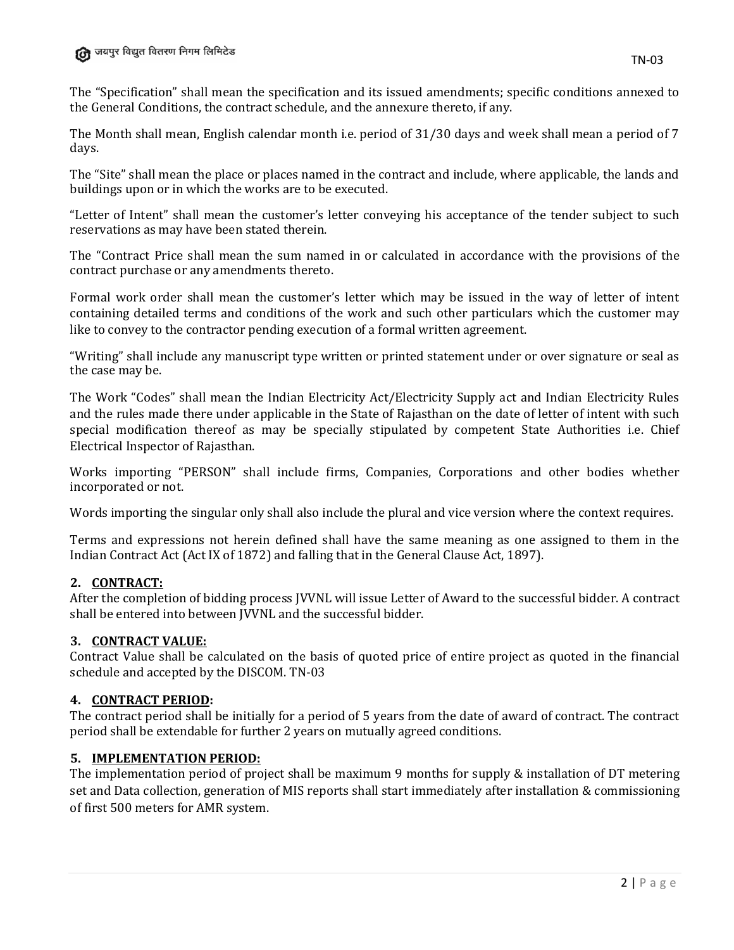The "Specification" shall mean the specification and its issued amendments; specific conditions annexed to the General Conditions, the contract schedule, and the annexure thereto, if any.

The Month shall mean, English calendar month i.e. period of 31/30 days and week shall mean a period of 7 days.

The "Site" shall mean the place or places named in the contract and include, where applicable, the lands and buildings upon or in which the works are to be executed.

"Letter of Intent" shall mean the customer's letter conveying his acceptance of the tender subject to such reservations as may have been stated therein.

The "Contract Price shall mean the sum named in or calculated in accordance with the provisions of the contract purchase or any amendments thereto.

Formal work order shall mean the customer's letter which may be issued in the way of letter of intent containing detailed terms and conditions of the work and such other particulars which the customer may like to convey to the contractor pending execution of a formal written agreement.

"Writing" shall include any manuscript type written or printed statement under or over signature or seal as the case may be.

The Work "Codes" shall mean the Indian Electricity Act/Electricity Supply act and Indian Electricity Rules and the rules made there under applicable in the State of Rajasthan on the date of letter of intent with such special modification thereof as may be specially stipulated by competent State Authorities i.e. Chief Electrical Inspector of Rajasthan.

Works importing "PERSON" shall include firms, Companies, Corporations and other bodies whether incorporated or not.

Words importing the singular only shall also include the plural and vice version where the context requires.

Terms and expressions not herein defined shall have the same meaning as one assigned to them in the Indian Contract Act (Act IX of 1872) and falling that in the General Clause Act, 1897).

### **2. CONTRACT:**

After the completion of bidding process JVVNL will issue Letter of Award to the successful bidder. A contract shall be entered into between JVVNL and the successful bidder.

### **3. CONTRACT VALUE:**

Contract Value shall be calculated on the basis of quoted price of entire project as quoted in the financial schedule and accepted by the DISCOM. TN-03

### **4. CONTRACT PERIOD:**

The contract period shall be initially for a period of 5 years from the date of award of contract. The contract period shall be extendable for further 2 years on mutually agreed conditions.

### **5. IMPLEMENTATION PERIOD:**

The implementation period of project shall be maximum 9 months for supply & installation of DT metering set and Data collection, generation of MIS reports shall start immediately after installation & commissioning of first 500 meters for AMR system.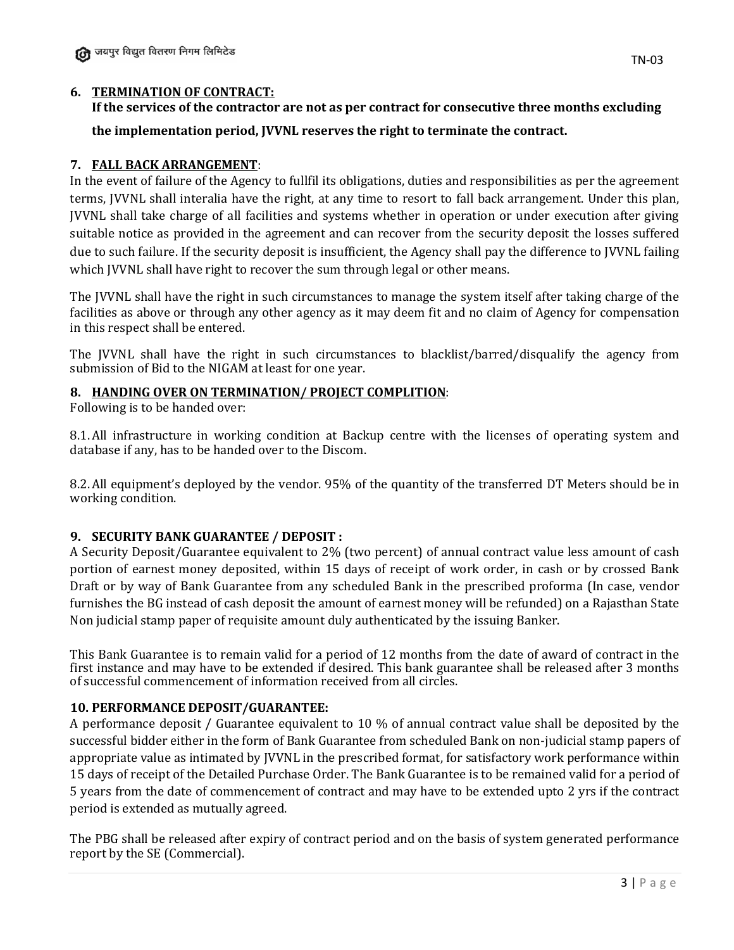# **6. TERMINATION OF CONTRACT:**

**If the services of the contractor are not as per contract for consecutive three months excluding the implementation period, JVVNL reserves the right to terminate the contract.**

# **7. FALL BACK ARRANGEMENT**:

In the event of failure of the Agency to fullfil its obligations, duties and responsibilities as per the agreement terms, JVVNL shall interalia have the right, at any time to resort to fall back arrangement. Under this plan, JVVNL shall take charge of all facilities and systems whether in operation or under execution after giving suitable notice as provided in the agreement and can recover from the security deposit the losses suffered due to such failure. If the security deposit is insufficient, the Agency shall pay the difference to JVVNL failing which JVVNL shall have right to recover the sum through legal or other means.

The JVVNL shall have the right in such circumstances to manage the system itself after taking charge of the facilities as above or through any other agency as it may deem fit and no claim of Agency for compensation in this respect shall be entered.

The JVVNL shall have the right in such circumstances to blacklist/barred/disqualify the agency from submission of Bid to the NIGAM at least for one year.

### **8. HANDING OVER ON TERMINATION/ PROJECT COMPLITION**:

Following is to be handed over:

8.1.All infrastructure in working condition at Backup centre with the licenses of operating system and database if any, has to be handed over to the Discom.

8.2.All equipment's deployed by the vendor. 95% of the quantity of the transferred DT Meters should be in working condition.

### **9. SECURITY BANK GUARANTEE / DEPOSIT :**

A Security Deposit/Guarantee equivalent to 2% (two percent) of annual contract value less amount of cash portion of earnest money deposited, within 15 days of receipt of work order, in cash or by crossed Bank Draft or by way of Bank Guarantee from any scheduled Bank in the prescribed proforma (In case, vendor furnishes the BG instead of cash deposit the amount of earnest money will be refunded) on a Rajasthan State Non judicial stamp paper of requisite amount duly authenticated by the issuing Banker.

This Bank Guarantee is to remain valid for a period of 12 months from the date of award of contract in the first instance and may have to be extended if desired. This bank guarantee shall be released after 3 months of successful commencement of information received from all circles.

### **10. PERFORMANCE DEPOSIT/GUARANTEE:**

A performance deposit / Guarantee equivalent to 10 % of annual contract value shall be deposited by the successful bidder either in the form of Bank Guarantee from scheduled Bank on non-judicial stamp papers of appropriate value as intimated by JVVNL in the prescribed format, for satisfactory work performance within 15 days of receipt of the Detailed Purchase Order. The Bank Guarantee is to be remained valid for a period of 5 years from the date of commencement of contract and may have to be extended upto 2 yrs if the contract period is extended as mutually agreed.

The PBG shall be released after expiry of contract period and on the basis of system generated performance report by the SE (Commercial).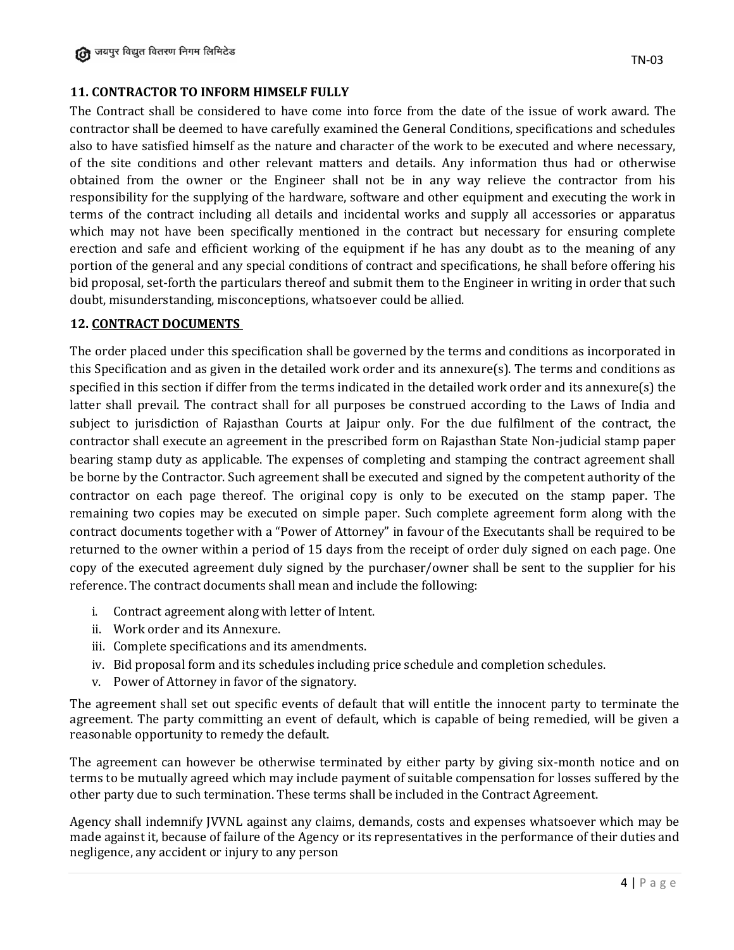# **11. CONTRACTOR TO INFORM HIMSELF FULLY**

The Contract shall be considered to have come into force from the date of the issue of work award. The contractor shall be deemed to have carefully examined the General Conditions, specifications and schedules also to have satisfied himself as the nature and character of the work to be executed and where necessary, of the site conditions and other relevant matters and details. Any information thus had or otherwise obtained from the owner or the Engineer shall not be in any way relieve the contractor from his responsibility for the supplying of the hardware, software and other equipment and executing the work in terms of the contract including all details and incidental works and supply all accessories or apparatus which may not have been specifically mentioned in the contract but necessary for ensuring complete erection and safe and efficient working of the equipment if he has any doubt as to the meaning of any portion of the general and any special conditions of contract and specifications, he shall before offering his bid proposal, set-forth the particulars thereof and submit them to the Engineer in writing in order that such doubt, misunderstanding, misconceptions, whatsoever could be allied.

#### **12. CONTRACT DOCUMENTS**

The order placed under this specification shall be governed by the terms and conditions as incorporated in this Specification and as given in the detailed work order and its annexure(s). The terms and conditions as specified in this section if differ from the terms indicated in the detailed work order and its annexure(s) the latter shall prevail. The contract shall for all purposes be construed according to the Laws of India and subject to jurisdiction of Rajasthan Courts at Jaipur only. For the due fulfilment of the contract, the contractor shall execute an agreement in the prescribed form on Rajasthan State Non-judicial stamp paper bearing stamp duty as applicable. The expenses of completing and stamping the contract agreement shall be borne by the Contractor. Such agreement shall be executed and signed by the competent authority of the contractor on each page thereof. The original copy is only to be executed on the stamp paper. The remaining two copies may be executed on simple paper. Such complete agreement form along with the contract documents together with a "Power of Attorney" in favour of the Executants shall be required to be returned to the owner within a period of 15 days from the receipt of order duly signed on each page. One copy of the executed agreement duly signed by the purchaser/owner shall be sent to the supplier for his reference. The contract documents shall mean and include the following:

- i. Contract agreement along with letter of Intent.
- ii. Work order and its Annexure.
- iii. Complete specifications and its amendments.
- iv. Bid proposal form and its schedules including price schedule and completion schedules.
- v. Power of Attorney in favor of the signatory.

The agreement shall set out specific events of default that will entitle the innocent party to terminate the agreement. The party committing an event of default, which is capable of being remedied, will be given a reasonable opportunity to remedy the default.

The agreement can however be otherwise terminated by either party by giving six-month notice and on terms to be mutually agreed which may include payment of suitable compensation for losses suffered by the other party due to such termination. These terms shall be included in the Contract Agreement.

Agency shall indemnify JVVNL against any claims, demands, costs and expenses whatsoever which may be made against it, because of failure of the Agency or its representatives in the performance of their duties and negligence, any accident or injury to any person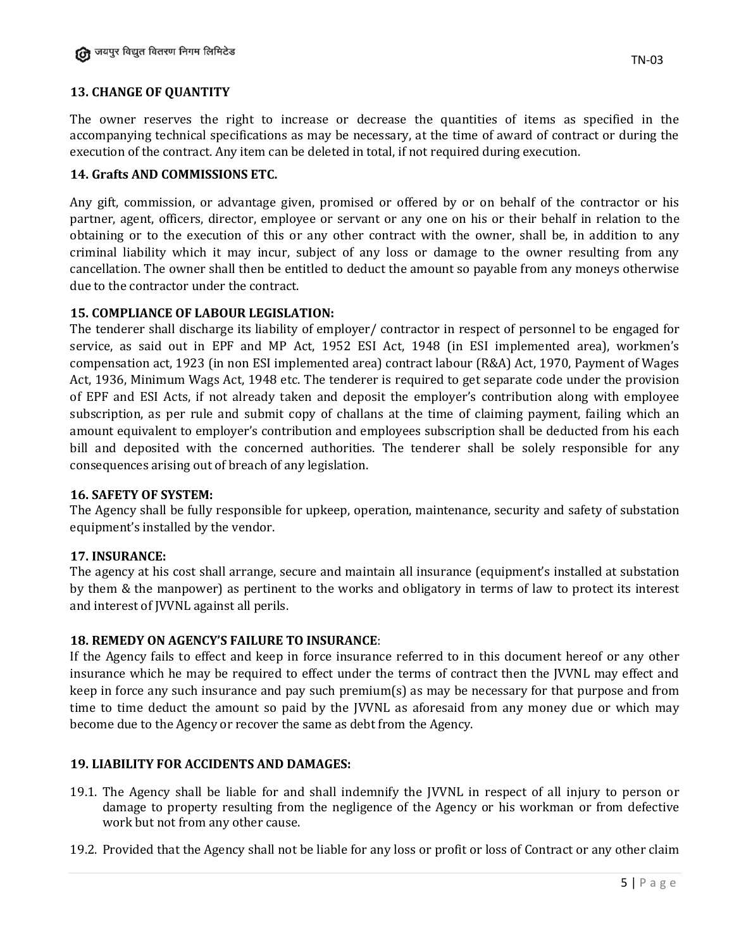# **13. CHANGE OF QUANTITY**

The owner reserves the right to increase or decrease the quantities of items as specified in the accompanying technical specifications as may be necessary, at the time of award of contract or during the execution of the contract. Any item can be deleted in total, if not required during execution.

### **14. Grafts AND COMMISSIONS ETC.**

Any gift, commission, or advantage given, promised or offered by or on behalf of the contractor or his partner, agent, officers, director, employee or servant or any one on his or their behalf in relation to the obtaining or to the execution of this or any other contract with the owner, shall be, in addition to any criminal liability which it may incur, subject of any loss or damage to the owner resulting from any cancellation. The owner shall then be entitled to deduct the amount so payable from any moneys otherwise due to the contractor under the contract.

#### **15. COMPLIANCE OF LABOUR LEGISLATION:**

The tenderer shall discharge its liability of employer/ contractor in respect of personnel to be engaged for service, as said out in EPF and MP Act, 1952 ESI Act, 1948 (in ESI implemented area), workmen's compensation act, 1923 (in non ESI implemented area) contract labour (R&A) Act, 1970, Payment of Wages Act, 1936, Minimum Wags Act, 1948 etc. The tenderer is required to get separate code under the provision of EPF and ESI Acts, if not already taken and deposit the employer's contribution along with employee subscription, as per rule and submit copy of challans at the time of claiming payment, failing which an amount equivalent to employer's contribution and employees subscription shall be deducted from his each bill and deposited with the concerned authorities. The tenderer shall be solely responsible for any consequences arising out of breach of any legislation.

### **16. SAFETY OF SYSTEM:**

The Agency shall be fully responsible for upkeep, operation, maintenance, security and safety of substation equipment's installed by the vendor.

### **17. INSURANCE:**

The agency at his cost shall arrange, secure and maintain all insurance (equipment's installed at substation by them & the manpower) as pertinent to the works and obligatory in terms of law to protect its interest and interest of JVVNL against all perils.

#### **18. REMEDY ON AGENCY'S FAILURE TO INSURANCE**:

If the Agency fails to effect and keep in force insurance referred to in this document hereof or any other insurance which he may be required to effect under the terms of contract then the JVVNL may effect and keep in force any such insurance and pay such premium(s) as may be necessary for that purpose and from time to time deduct the amount so paid by the JVVNL as aforesaid from any money due or which may become due to the Agency or recover the same as debt from the Agency.

#### **19. LIABILITY FOR ACCIDENTS AND DAMAGES:**

19.1. The Agency shall be liable for and shall indemnify the JVVNL in respect of all injury to person or damage to property resulting from the negligence of the Agency or his workman or from defective work but not from any other cause.

19.2. Provided that the Agency shall not be liable for any loss or profit or loss of Contract or any other claim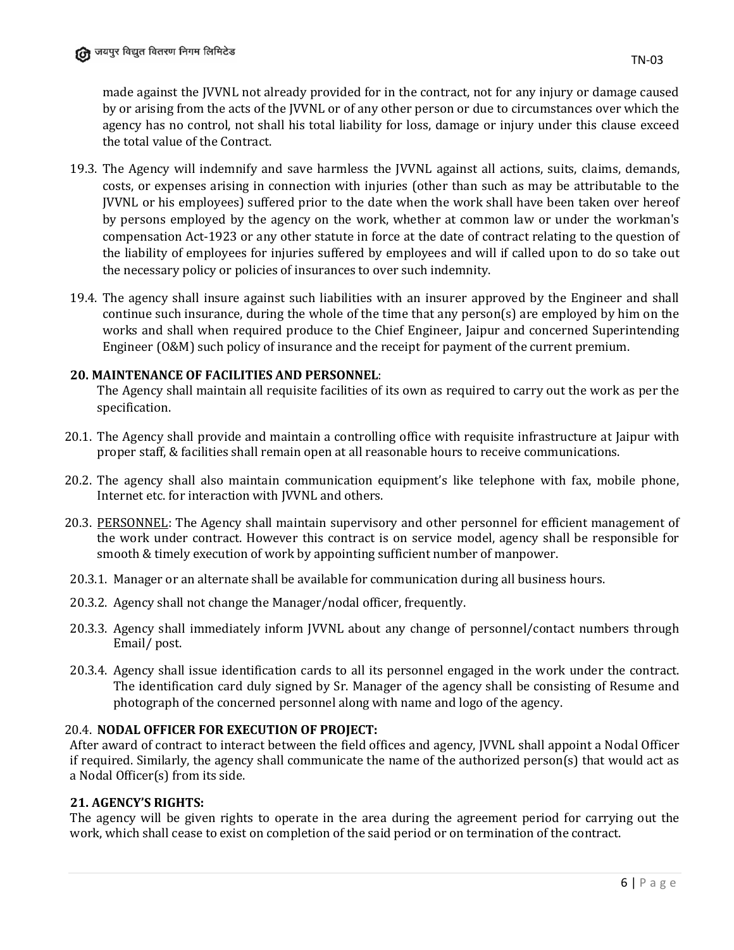made against the JVVNL not already provided for in the contract, not for any injury or damage caused by or arising from the acts of the JVVNL or of any other person or due to circumstances over which the agency has no control, not shall his total liability for loss, damage or injury under this clause exceed the total value of the Contract.

- 19.3. The Agency will indemnify and save harmless the JVVNL against all actions, suits, claims, demands, costs, or expenses arising in connection with injuries (other than such as may be attributable to the JVVNL or his employees) suffered prior to the date when the work shall have been taken over hereof by persons employed by the agency on the work, whether at common law or under the workman's compensation Act-1923 or any other statute in force at the date of contract relating to the question of the liability of employees for injuries suffered by employees and will if called upon to do so take out the necessary policy or policies of insurances to over such indemnity.
- 19.4. The agency shall insure against such liabilities with an insurer approved by the Engineer and shall continue such insurance, during the whole of the time that any person(s) are employed by him on the works and shall when required produce to the Chief Engineer, Jaipur and concerned Superintending Engineer (O&M) such policy of insurance and the receipt for payment of the current premium.

### **20. MAINTENANCE OF FACILITIES AND PERSONNEL**:

The Agency shall maintain all requisite facilities of its own as required to carry out the work as per the specification.

- 20.1. The Agency shall provide and maintain a controlling office with requisite infrastructure at Jaipur with proper staff, & facilities shall remain open at all reasonable hours to receive communications.
- 20.2. The agency shall also maintain communication equipment's like telephone with fax, mobile phone, Internet etc. for interaction with JVVNL and others.
- 20.3. PERSONNEL: The Agency shall maintain supervisory and other personnel for efficient management of the work under contract. However this contract is on service model, agency shall be responsible for smooth & timely execution of work by appointing sufficient number of manpower.
- 20.3.1. Manager or an alternate shall be available for communication during all business hours.
- 20.3.2. Agency shall not change the Manager/nodal officer, frequently.
- 20.3.3. Agency shall immediately inform JVVNL about any change of personnel/contact numbers through Email/ post.
- 20.3.4. Agency shall issue identification cards to all its personnel engaged in the work under the contract. The identification card duly signed by Sr. Manager of the agency shall be consisting of Resume and photograph of the concerned personnel along with name and logo of the agency.

#### 20.4. **NODAL OFFICER FOR EXECUTION OF PROJECT:**

After award of contract to interact between the field offices and agency, JVVNL shall appoint a Nodal Officer if required. Similarly, the agency shall communicate the name of the authorized person(s) that would act as a Nodal Officer(s) from its side.

### **21. AGENCY'S RIGHTS:**

The agency will be given rights to operate in the area during the agreement period for carrying out the work, which shall cease to exist on completion of the said period or on termination of the contract.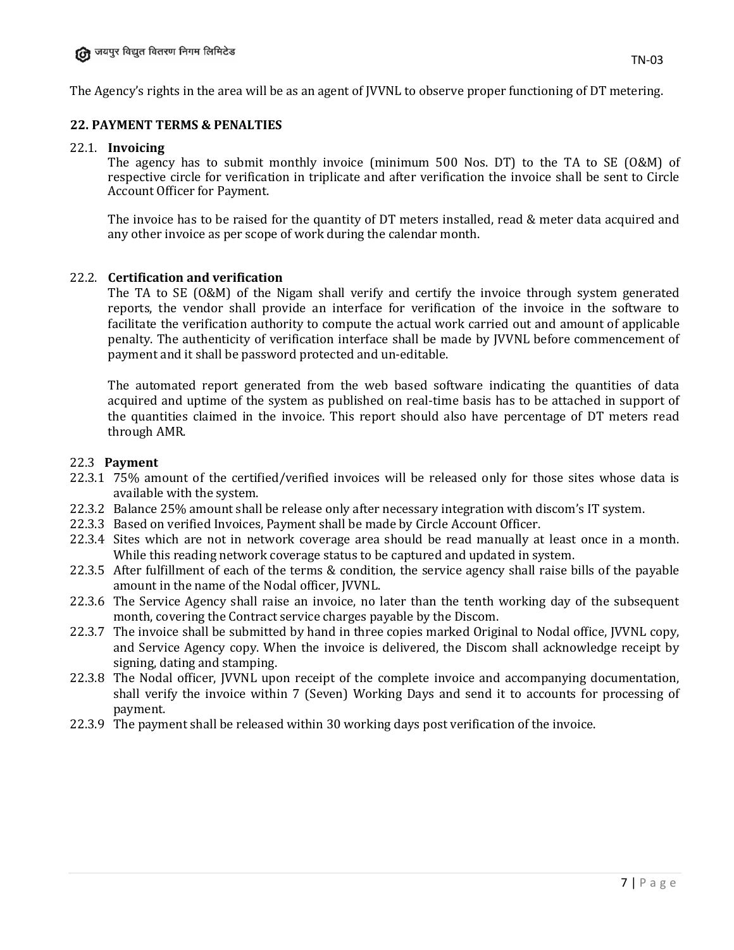The Agency's rights in the area will be as an agent of JVVNL to observe proper functioning of DT metering.

### **22. PAYMENT TERMS & PENALTIES**

#### 22.1. **Invoicing**

The agency has to submit monthly invoice (minimum 500 Nos. DT) to the TA to SE (O&M) of respective circle for verification in triplicate and after verification the invoice shall be sent to Circle Account Officer for Payment.

The invoice has to be raised for the quantity of DT meters installed, read & meter data acquired and any other invoice as per scope of work during the calendar month.

#### 22.2. **Certification and verification**

The TA to SE (O&M) of the Nigam shall verify and certify the invoice through system generated reports, the vendor shall provide an interface for verification of the invoice in the software to facilitate the verification authority to compute the actual work carried out and amount of applicable penalty. The authenticity of verification interface shall be made by JVVNL before commencement of payment and it shall be password protected and un-editable.

The automated report generated from the web based software indicating the quantities of data acquired and uptime of the system as published on real-time basis has to be attached in support of the quantities claimed in the invoice. This report should also have percentage of DT meters read through AMR.

#### 22.3 **Payment**

- 22.3.1 75% amount of the certified/verified invoices will be released only for those sites whose data is available with the system.
- 22.3.2 Balance 25% amount shall be release only after necessary integration with discom's IT system.
- 22.3.3 Based on verified Invoices, Payment shall be made by Circle Account Officer.
- 22.3.4 Sites which are not in network coverage area should be read manually at least once in a month. While this reading network coverage status to be captured and updated in system.
- 22.3.5 After fulfillment of each of the terms & condition, the service agency shall raise bills of the payable amount in the name of the Nodal officer, JVVNL.
- 22.3.6 The Service Agency shall raise an invoice, no later than the tenth working day of the subsequent month, covering the Contract service charges payable by the Discom.
- 22.3.7 The invoice shall be submitted by hand in three copies marked Original to Nodal office, JVVNL copy, and Service Agency copy. When the invoice is delivered, the Discom shall acknowledge receipt by signing, dating and stamping.
- 22.3.8 The Nodal officer, JVVNL upon receipt of the complete invoice and accompanying documentation, shall verify the invoice within 7 (Seven) Working Days and send it to accounts for processing of payment.
- 22.3.9 The payment shall be released within 30 working days post verification of the invoice.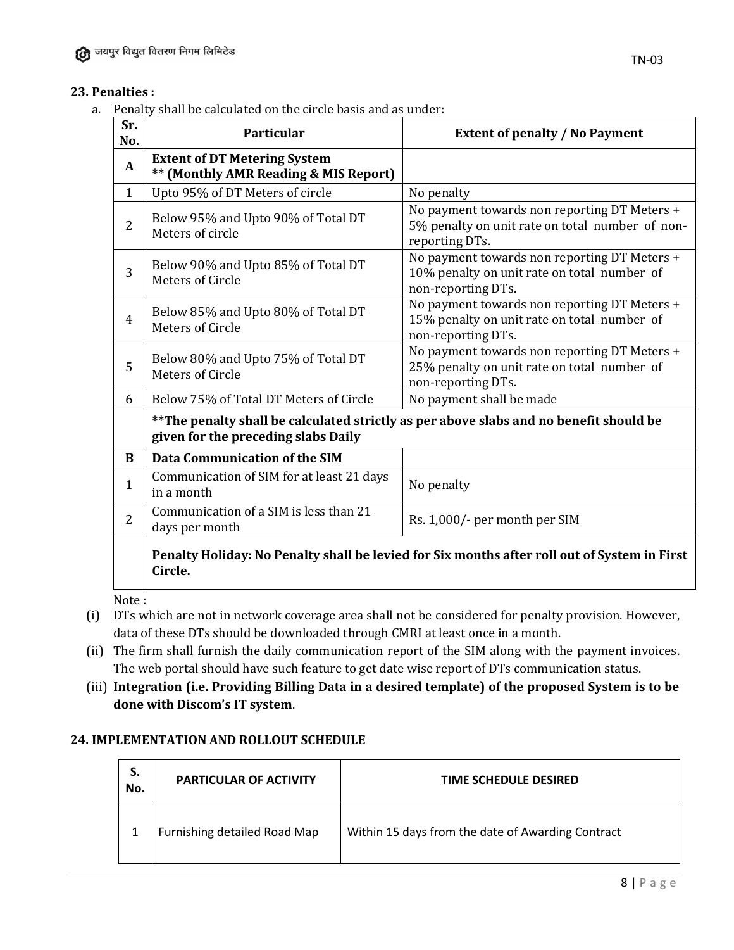# **23. Penalties :**

a. Penalty shall be calculated on the circle basis and as under:

| Sr.<br>No.     | Particular                                                                                                                     | <b>Extent of penalty / No Payment</b>                                                                             |
|----------------|--------------------------------------------------------------------------------------------------------------------------------|-------------------------------------------------------------------------------------------------------------------|
| A              | <b>Extent of DT Metering System</b><br>** (Monthly AMR Reading & MIS Report)                                                   |                                                                                                                   |
| 1              | Upto 95% of DT Meters of circle                                                                                                | No penalty                                                                                                        |
| 2              | Below 95% and Upto 90% of Total DT<br>Meters of circle                                                                         | No payment towards non reporting DT Meters +<br>5% penalty on unit rate on total number of non-<br>reporting DTs. |
| 3              | Below 90% and Upto 85% of Total DT<br><b>Meters of Circle</b>                                                                  | No payment towards non reporting DT Meters +<br>10% penalty on unit rate on total number of<br>non-reporting DTs. |
| $\overline{4}$ | Below 85% and Upto 80% of Total DT<br>Meters of Circle                                                                         | No payment towards non reporting DT Meters +<br>15% penalty on unit rate on total number of<br>non-reporting DTs. |
| 5              | Below 80% and Upto 75% of Total DT<br><b>Meters of Circle</b>                                                                  | No payment towards non reporting DT Meters +<br>25% penalty on unit rate on total number of<br>non-reporting DTs. |
| 6              | Below 75% of Total DT Meters of Circle                                                                                         | No payment shall be made                                                                                          |
|                | ** The penalty shall be calculated strictly as per above slabs and no benefit should be<br>given for the preceding slabs Daily |                                                                                                                   |
| B              | <b>Data Communication of the SIM</b>                                                                                           |                                                                                                                   |
| 1              | Communication of SIM for at least 21 days<br>in a month                                                                        | No penalty                                                                                                        |
| $\overline{2}$ | Communication of a SIM is less than 21<br>days per month                                                                       | Rs. 1,000/- per month per SIM                                                                                     |
|                | Circle.                                                                                                                        | Penalty Holiday: No Penalty shall be levied for Six months after roll out of System in First                      |

Note :

- (i) DTs which are not in network coverage area shall not be considered for penalty provision. However, data of these DTs should be downloaded through CMRI at least once in a month.
- (ii) The firm shall furnish the daily communication report of the SIM along with the payment invoices. The web portal should have such feature to get date wise report of DTs communication status.
- (iii) **Integration (i.e. Providing Billing Data in a desired template) of the proposed System is to be done with Discom's IT system**.

# **24. IMPLEMENTATION AND ROLLOUT SCHEDULE**

| S.<br>No. | <b>PARTICULAR OF ACTIVITY</b> | TIME SCHEDULE DESIRED                             |
|-----------|-------------------------------|---------------------------------------------------|
|           | Furnishing detailed Road Map  | Within 15 days from the date of Awarding Contract |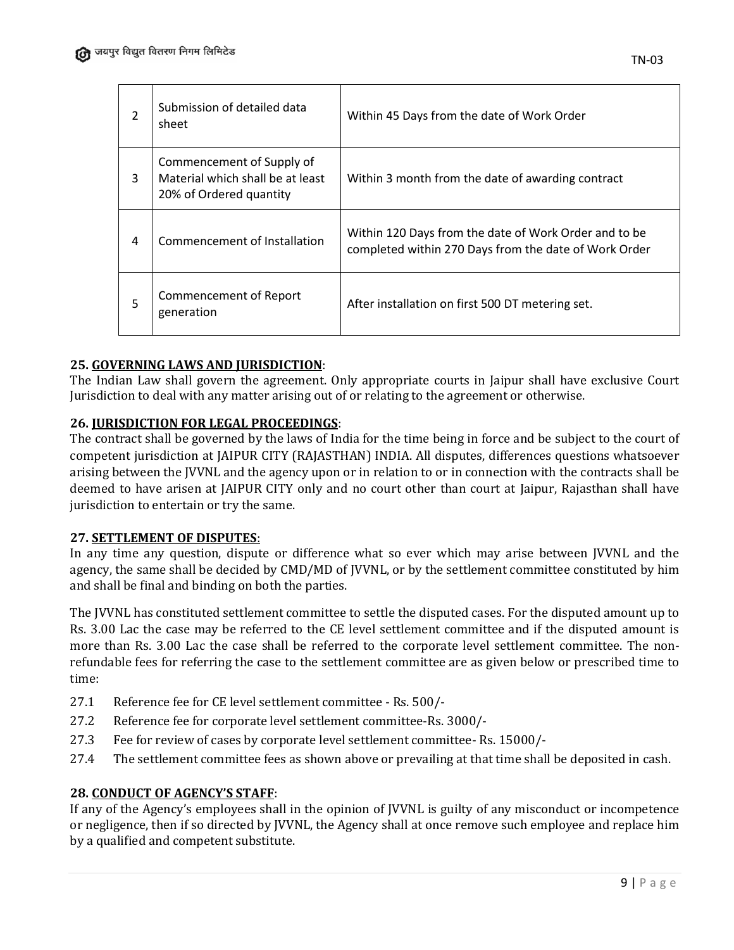| 2 | Submission of detailed data<br>sheet                                                     | Within 45 Days from the date of Work Order                                                                     |
|---|------------------------------------------------------------------------------------------|----------------------------------------------------------------------------------------------------------------|
| 3 | Commencement of Supply of<br>Material which shall be at least<br>20% of Ordered quantity | Within 3 month from the date of awarding contract                                                              |
| 4 | Commencement of Installation                                                             | Within 120 Days from the date of Work Order and to be<br>completed within 270 Days from the date of Work Order |
| 5 | <b>Commencement of Report</b><br>generation                                              | After installation on first 500 DT metering set.                                                               |

#### **25. GOVERNING LAWS AND JURISDICTION**:

The Indian Law shall govern the agreement. Only appropriate courts in Jaipur shall have exclusive Court Jurisdiction to deal with any matter arising out of or relating to the agreement or otherwise.

#### **26. JURISDICTION FOR LEGAL PROCEEDINGS**:

The contract shall be governed by the laws of India for the time being in force and be subject to the court of competent jurisdiction at JAIPUR CITY (RAJASTHAN) INDIA. All disputes, differences questions whatsoever arising between the JVVNL and the agency upon or in relation to or in connection with the contracts shall be deemed to have arisen at JAIPUR CITY only and no court other than court at Jaipur, Rajasthan shall have jurisdiction to entertain or try the same.

#### **27. SETTLEMENT OF DISPUTES**:

In any time any question, dispute or difference what so ever which may arise between JVVNL and the agency, the same shall be decided by CMD/MD of JVVNL, or by the settlement committee constituted by him and shall be final and binding on both the parties.

The JVVNL has constituted settlement committee to settle the disputed cases. For the disputed amount up to Rs. 3.00 Lac the case may be referred to the CE level settlement committee and if the disputed amount is more than Rs. 3.00 Lac the case shall be referred to the corporate level settlement committee. The nonrefundable fees for referring the case to the settlement committee are as given below or prescribed time to time:

- 27.1 Reference fee for CE level settlement committee Rs. 500/-
- 27.2 Reference fee for corporate level settlement committee-Rs. 3000/-
- 27.3 Fee for review of cases by corporate level settlement committee- Rs. 15000/-
- 27.4 The settlement committee fees as shown above or prevailing at that time shall be deposited in cash.

#### **28. CONDUCT OF AGENCY'S STAFF**:

If any of the Agency's employees shall in the opinion of JVVNL is guilty of any misconduct or incompetence or negligence, then if so directed by JVVNL, the Agency shall at once remove such employee and replace him by a qualified and competent substitute.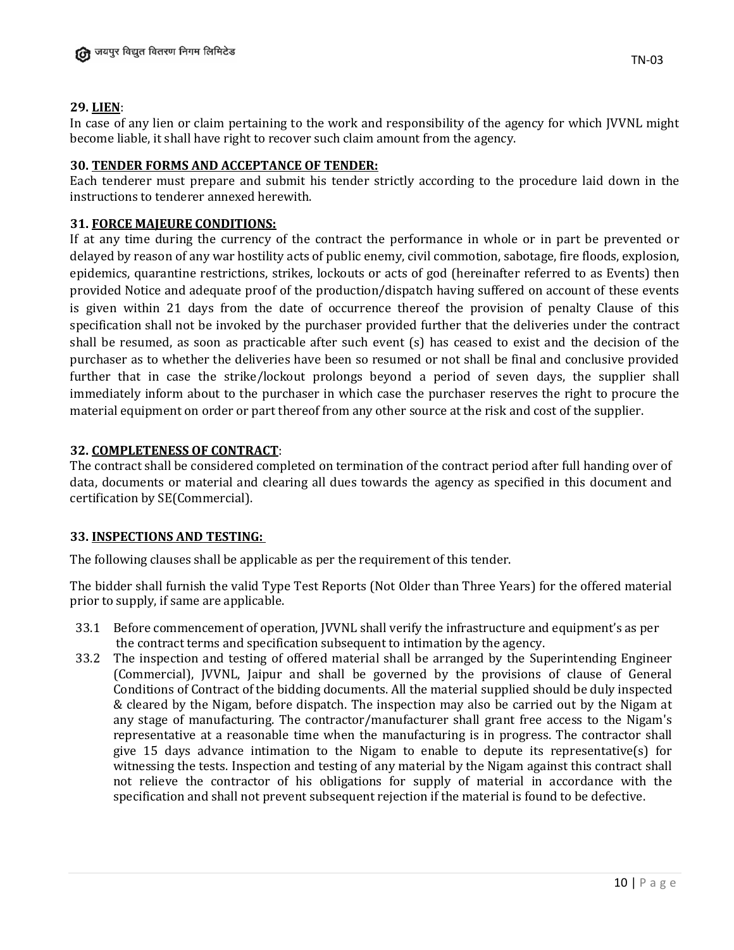### **29. LIEN**:

In case of any lien or claim pertaining to the work and responsibility of the agency for which JVVNL might become liable, it shall have right to recover such claim amount from the agency.

#### **30. TENDER FORMS AND ACCEPTANCE OF TENDER:**

Each tenderer must prepare and submit his tender strictly according to the procedure laid down in the instructions to tenderer annexed herewith.

### **31. FORCE MAJEURE CONDITIONS:**

If at any time during the currency of the contract the performance in whole or in part be prevented or delayed by reason of any war hostility acts of public enemy, civil commotion, sabotage, fire floods, explosion, epidemics, quarantine restrictions, strikes, lockouts or acts of god (hereinafter referred to as Events) then provided Notice and adequate proof of the production/dispatch having suffered on account of these events is given within 21 days from the date of occurrence thereof the provision of penalty Clause of this specification shall not be invoked by the purchaser provided further that the deliveries under the contract shall be resumed, as soon as practicable after such event (s) has ceased to exist and the decision of the purchaser as to whether the deliveries have been so resumed or not shall be final and conclusive provided further that in case the strike/lockout prolongs beyond a period of seven days, the supplier shall immediately inform about to the purchaser in which case the purchaser reserves the right to procure the material equipment on order or part thereof from any other source at the risk and cost of the supplier.

### **32. COMPLETENESS OF CONTRACT**:

The contract shall be considered completed on termination of the contract period after full handing over of data, documents or material and clearing all dues towards the agency as specified in this document and certification by SE(Commercial).

### **33. INSPECTIONS AND TESTING:**

The following clauses shall be applicable as per the requirement of this tender.

The bidder shall furnish the valid Type Test Reports (Not Older than Three Years) for the offered material prior to supply, if same are applicable.

- 33.1 Before commencement of operation, JVVNL shall verify the infrastructure and equipment's as per the contract terms and specification subsequent to intimation by the agency.
- 33.2 The inspection and testing of offered material shall be arranged by the Superintending Engineer (Commercial), JVVNL, Jaipur and shall be governed by the provisions of clause of General Conditions of Contract of the bidding documents. All the material supplied should be duly inspected & cleared by the Nigam, before dispatch. The inspection may also be carried out by the Nigam at any stage of manufacturing. The contractor/manufacturer shall grant free access to the Nigam's representative at a reasonable time when the manufacturing is in progress. The contractor shall give 15 days advance intimation to the Nigam to enable to depute its representative(s) for witnessing the tests. Inspection and testing of any material by the Nigam against this contract shall not relieve the contractor of his obligations for supply of material in accordance with the specification and shall not prevent subsequent rejection if the material is found to be defective.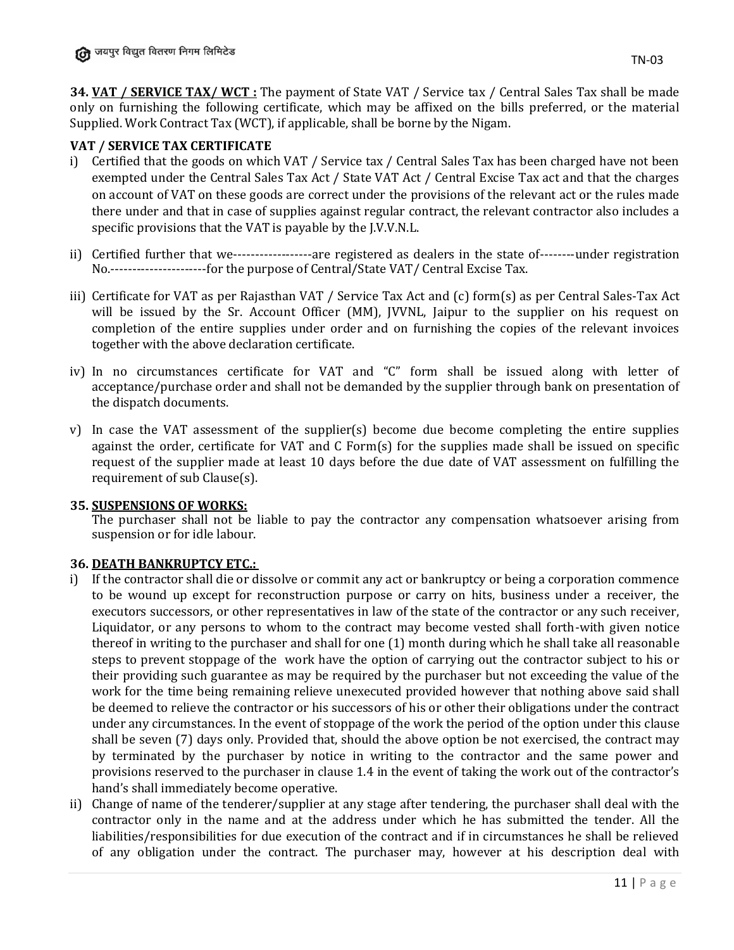**34. VAT / SERVICE TAX/ WCT :** The payment of State VAT / Service tax / Central Sales Tax shall be made only on furnishing the following certificate, which may be affixed on the bills preferred, or the material Supplied. Work Contract Tax (WCT), if applicable, shall be borne by the Nigam.

### **VAT / SERVICE TAX CERTIFICATE**

- i) Certified that the goods on which VAT / Service tax / Central Sales Tax has been charged have not been exempted under the Central Sales Tax Act / State VAT Act / Central Excise Tax act and that the charges on account of VAT on these goods are correct under the provisions of the relevant act or the rules made there under and that in case of supplies against regular contract, the relevant contractor also includes a specific provisions that the VAT is payable by the J.V.V.N.L.
- ii) Certified further that we------------------are registered as dealers in the state of--------under registration No.----------------------for the purpose of Central/State VAT/ Central Excise Tax.
- iii) Certificate for VAT as per Rajasthan VAT / Service Tax Act and (c) form(s) as per Central Sales-Tax Act will be issued by the Sr. Account Officer (MM), JVVNL, Jaipur to the supplier on his request on completion of the entire supplies under order and on furnishing the copies of the relevant invoices together with the above declaration certificate.
- iv) In no circumstances certificate for VAT and "C" form shall be issued along with letter of acceptance/purchase order and shall not be demanded by the supplier through bank on presentation of the dispatch documents.
- v) In case the VAT assessment of the supplier(s) become due become completing the entire supplies against the order, certificate for VAT and C Form(s) for the supplies made shall be issued on specific request of the supplier made at least 10 days before the due date of VAT assessment on fulfilling the requirement of sub Clause(s).

### **35. SUSPENSIONS OF WORKS:**

The purchaser shall not be liable to pay the contractor any compensation whatsoever arising from suspension or for idle labour.

### **36. DEATH BANKRUPTCY ETC.:**

- i) If the contractor shall die or dissolve or commit any act or bankruptcy or being a corporation commence to be wound up except for reconstruction purpose or carry on hits, business under a receiver, the executors successors, or other representatives in law of the state of the contractor or any such receiver, Liquidator, or any persons to whom to the contract may become vested shall forth-with given notice thereof in writing to the purchaser and shall for one (1) month during which he shall take all reasonable steps to prevent stoppage of the work have the option of carrying out the contractor subject to his or their providing such guarantee as may be required by the purchaser but not exceeding the value of the work for the time being remaining relieve unexecuted provided however that nothing above said shall be deemed to relieve the contractor or his successors of his or other their obligations under the contract under any circumstances. In the event of stoppage of the work the period of the option under this clause shall be seven (7) days only. Provided that, should the above option be not exercised, the contract may by terminated by the purchaser by notice in writing to the contractor and the same power and provisions reserved to the purchaser in clause 1.4 in the event of taking the work out of the contractor's hand's shall immediately become operative.
- ii) Change of name of the tenderer/supplier at any stage after tendering, the purchaser shall deal with the contractor only in the name and at the address under which he has submitted the tender. All the liabilities/responsibilities for due execution of the contract and if in circumstances he shall be relieved of any obligation under the contract. The purchaser may, however at his description deal with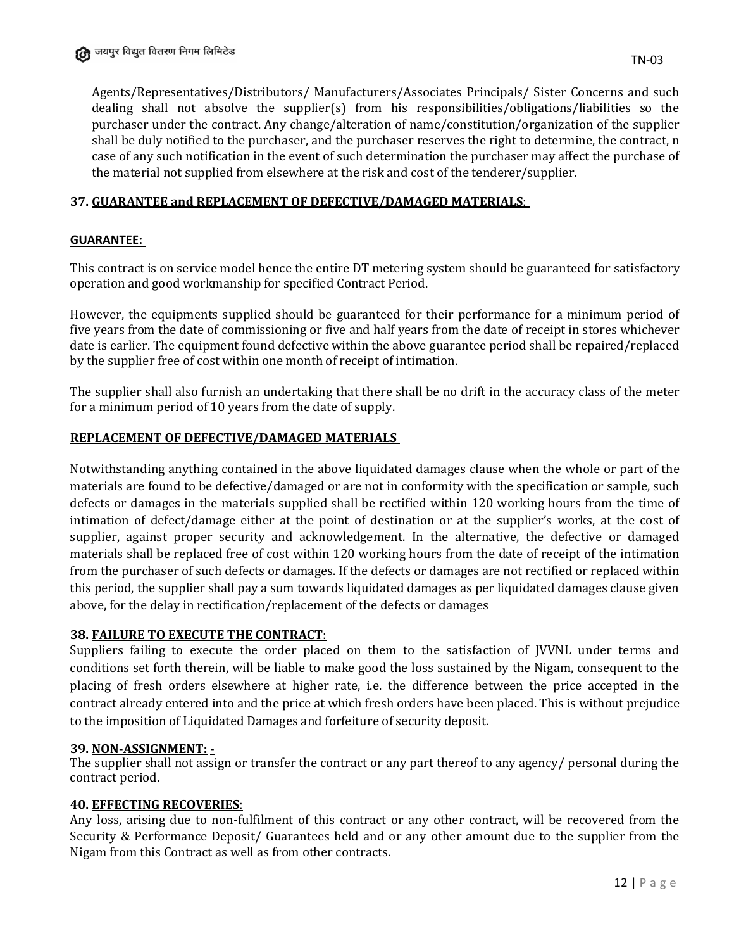Agents/Representatives/Distributors/ Manufacturers/Associates Principals/ Sister Concerns and such dealing shall not absolve the supplier(s) from his responsibilities/obligations/liabilities so the purchaser under the contract. Any change/alteration of name/constitution/organization of the supplier shall be duly notified to the purchaser, and the purchaser reserves the right to determine, the contract, n case of any such notification in the event of such determination the purchaser may affect the purchase of the material not supplied from elsewhere at the risk and cost of the tenderer/supplier.

# **37. GUARANTEE and REPLACEMENT OF DEFECTIVE/DAMAGED MATERIALS**:

### **GUARANTEE:**

This contract is on service model hence the entire DT metering system should be guaranteed for satisfactory operation and good workmanship for specified Contract Period.

However, the equipments supplied should be guaranteed for their performance for a minimum period of five years from the date of commissioning or five and half years from the date of receipt in stores whichever date is earlier. The equipment found defective within the above guarantee period shall be repaired/replaced by the supplier free of cost within one month of receipt of intimation.

The supplier shall also furnish an undertaking that there shall be no drift in the accuracy class of the meter for a minimum period of 10 years from the date of supply.

### **REPLACEMENT OF DEFECTIVE/DAMAGED MATERIALS**

Notwithstanding anything contained in the above liquidated damages clause when the whole or part of the materials are found to be defective/damaged or are not in conformity with the specification or sample, such defects or damages in the materials supplied shall be rectified within 120 working hours from the time of intimation of defect/damage either at the point of destination or at the supplier's works, at the cost of supplier, against proper security and acknowledgement. In the alternative, the defective or damaged materials shall be replaced free of cost within 120 working hours from the date of receipt of the intimation from the purchaser of such defects or damages. If the defects or damages are not rectified or replaced within this period, the supplier shall pay a sum towards liquidated damages as per liquidated damages clause given above, for the delay in rectification/replacement of the defects or damages

### **38. FAILURE TO EXECUTE THE CONTRACT**:

Suppliers failing to execute the order placed on them to the satisfaction of JVVNL under terms and conditions set forth therein, will be liable to make good the loss sustained by the Nigam, consequent to the placing of fresh orders elsewhere at higher rate, i.e. the difference between the price accepted in the contract already entered into and the price at which fresh orders have been placed. This is without prejudice to the imposition of Liquidated Damages and forfeiture of security deposit.

### **39. NON-ASSIGNMENT:** -

The supplier shall not assign or transfer the contract or any part thereof to any agency/ personal during the contract period.

### **40. EFFECTING RECOVERIES**:

Any loss, arising due to non-fulfilment of this contract or any other contract, will be recovered from the Security & Performance Deposit/ Guarantees held and or any other amount due to the supplier from the Nigam from this Contract as well as from other contracts.